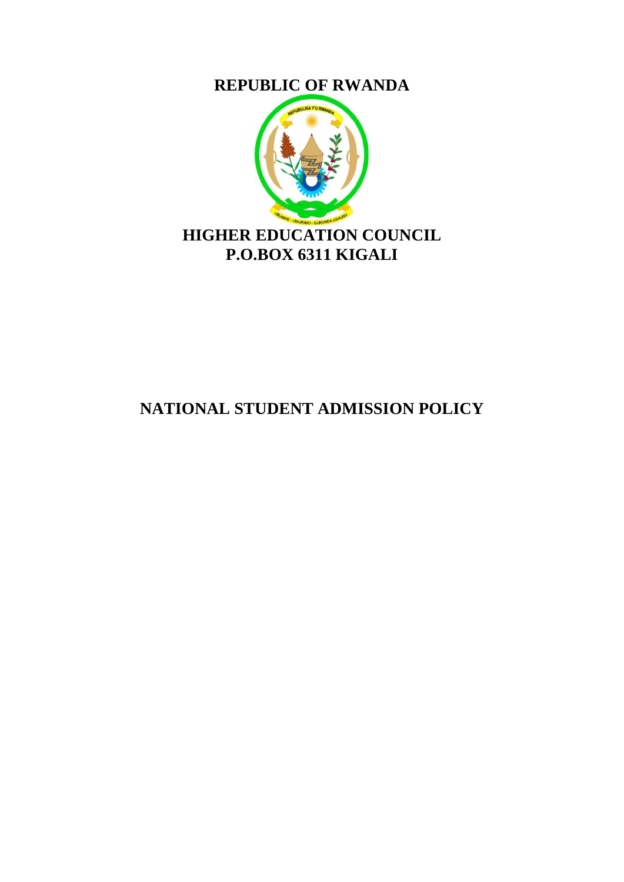**REPUBLIC OF RWANDA**



# **NATIONAL STUDENT ADMISSION POLICY**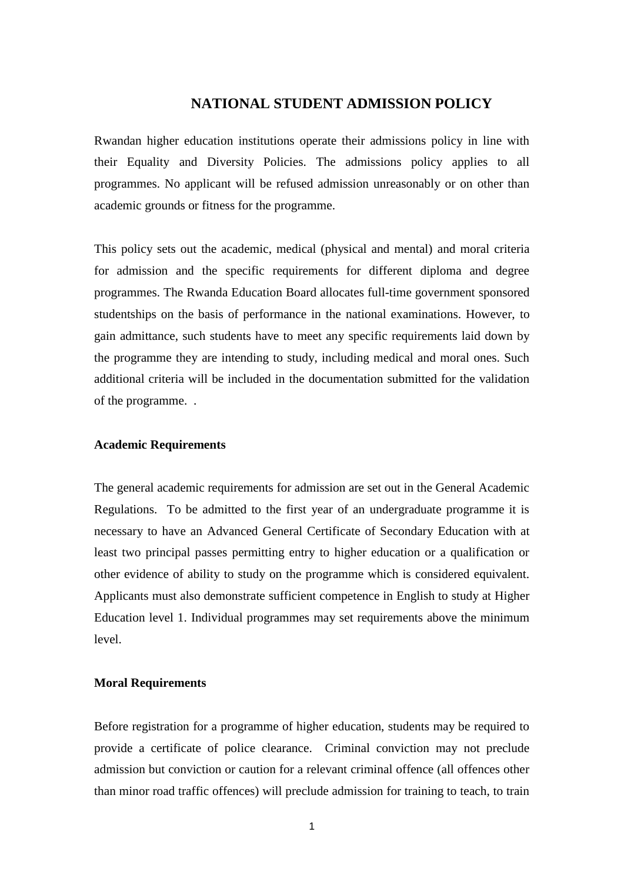## **NATIONAL STUDENT ADMISSION POLICY**

Rwandan higher education institutions operate their admissions policy in line with their Equality and Diversity Policies. The admissions policy applies to all programmes. No applicant will be refused admission unreasonably or on other than academic grounds or fitness for the programme.

This policy sets out the academic, medical (physical and mental) and moral criteria for admission and the specific requirements for different diploma and degree programmes. The Rwanda Education Board allocates full-time government sponsored studentships on the basis of performance in the national examinations. However, to gain admittance, such students have to meet any specific requirements laid down by the programme they are intending to study, including medical and moral ones. Such additional criteria will be included in the documentation submitted for the validation of the programme. .

### **Academic Requirements**

The general academic requirements for admission are set out in the General Academic Regulations. To be admitted to the first year of an undergraduate programme it is necessary to have an Advanced General Certificate of Secondary Education with at least two principal passes permitting entry to higher education or a qualification or other evidence of ability to study on the programme which is considered equivalent. Applicants must also demonstrate sufficient competence in English to study at Higher Education level 1. Individual programmes may set requirements above the minimum level.

#### **Moral Requirements**

Before registration for a programme of higher education, students may be required to provide a certificate of police clearance. Criminal conviction may not preclude admission but conviction or caution for a relevant criminal offence (all offences other than minor road traffic offences) will preclude admission for training to teach, to train